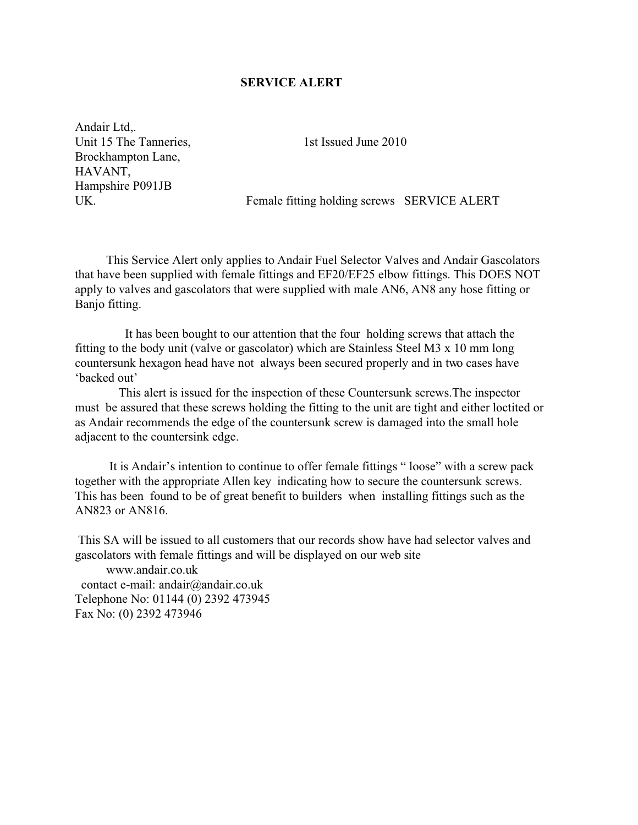## **SERVICE ALERT**

Andair Ltd.. Unit 15 The Tanneries, Brockhampton Lane, HAVANT, Hampshire P091JB UK.

1st Issued June 2010

Female fitting holding screws SERVICE ALERT

This Service Alert only applies to Andair Fuel Selector Valves and Andair Gascolators that have been supplied with female fittings and EF20/EF25 elbow fittings. This DOES NOT apply to valves and gascolators that were supplied with male AN6, AN8 any hose fitting or Banjo fitting.

It has been bought to our attention that the four holding screws that attach the fitting to the body unit (valve or gascolator) which are Stainless Steel M3 x 10 mm long countersunk hexagon head have not always been secured properly and in two cases have 'backed out'

This alert is issued for the inspection of these Countersunk screws. The inspector must be assured that these screws holding the fitting to the unit are tight and either loctited or as Andair recommends the edge of the countersunk screw is damaged into the small hole adjacent to the countersink edge.

It is Andair's intention to continue to offer female fittings "loose" with a screw pack together with the appropriate Allen key indicating how to secure the countersunk screws. This has been found to be of great benefit to builders when installing fittings such as the AN823 or AN816.

This SA will be issued to all customers that our records show have had selector valves and gascolators with female fittings and will be displayed on our web site

www andair couk contact e-mail: andair@andair.co.uk Telephone No: 01144 (0) 2392 473945 Fax No: (0) 2392 473946